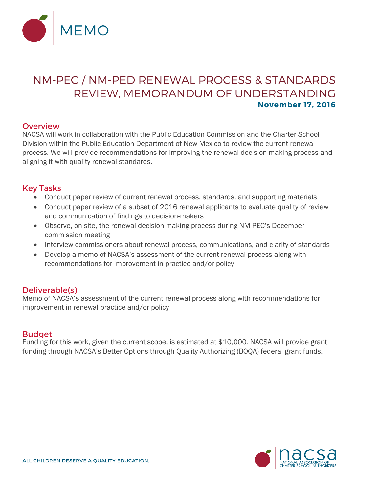

# NM-PEC / NM-PED RENEWAL PROCESS & STANDARDS REVIEW, MEMORANDUM OF UNDERSTANDING **November 17, 2016**

### **Overview**

NACSA will work in collaboration with the Public Education Commission and the Charter School Division within the Public Education Department of New Mexico to review the current renewal process. We will provide recommendations for improving the renewal decision-making process and aligning it with quality renewal standards.

#### Key Tasks

- Conduct paper review of current renewal process, standards, and supporting materials
- Conduct paper review of a subset of 2016 renewal applicants to evaluate quality of review and communication of findings to decision-makers
- Observe, on site, the renewal decision-making process during NM-PEC's December commission meeting
- Interview commissioners about renewal process, communications, and clarity of standards
- Develop a memo of NACSA's assessment of the current renewal process along with recommendations for improvement in practice and/or policy

### Deliverable(s)

Memo of NACSA's assessment of the current renewal process along with recommendations for improvement in renewal practice and/or policy

### **Budget**

Funding for this work, given the current scope, is estimated at \$10,000. NACSA will provide grant funding through NACSA's Better Options through Quality Authorizing (BOQA) federal grant funds.